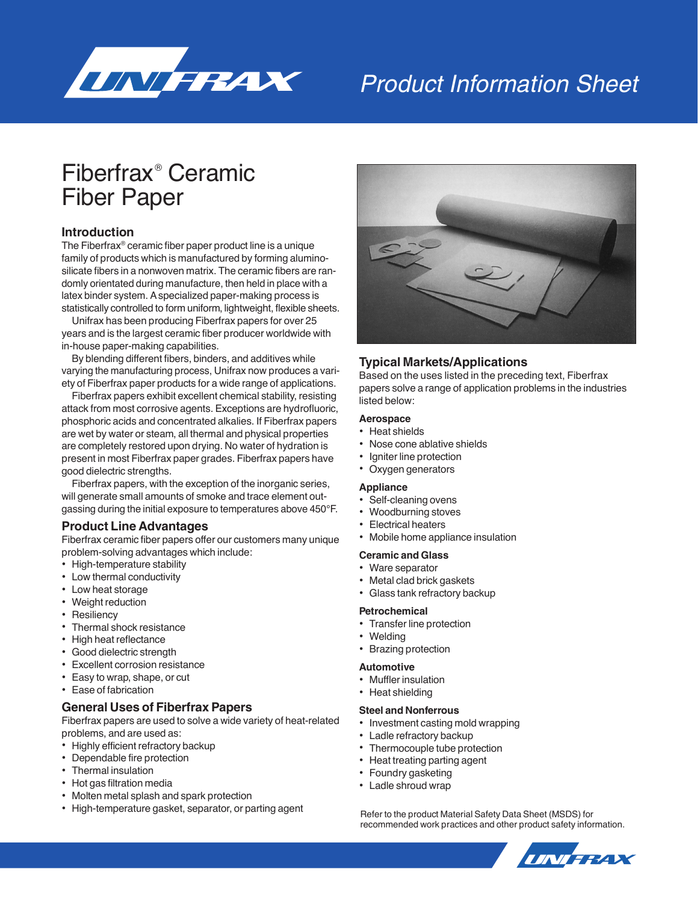

# Product Information Sheet

# Fiberfrax® Ceramic Fiber Paper

### **Introduction**

The Fiberfrax® ceramic fiber paper product line is a unique family of products which is manufactured by forming aluminosilicate fibers in a nonwoven matrix. The ceramic fibers are randomly orientated during manufacture, then held in place with a latex binder system. A specialized paper-making process is statistically controlled to form uniform, lightweight, flexible sheets.

Unifrax has been producing Fiberfrax papers for over 25 years and is the largest ceramic fiber producer worldwide with in-house paper-making capabilities.

By blending different fibers, binders, and additives while varying the manufacturing process, Unifrax now produces a variety of Fiberfrax paper products for a wide range of applications.

Fiberfrax papers exhibit excellent chemical stability, resisting attack from most corrosive agents. Exceptions are hydrofluoric, phosphoric acids and concentrated alkalies. If Fiberfrax papers are wet by water or steam, all thermal and physical properties are completely restored upon drying. No water of hydration is present in most Fiberfrax paper grades. Fiberfrax papers have good dielectric strengths.

Fiberfrax papers, with the exception of the inorganic series, will generate small amounts of smoke and trace element outgassing during the initial exposure to temperatures above 450°F.

#### **Product Line Advantages**

Fiberfrax ceramic fiber papers offer our customers many unique problem-solving advantages which include:

- High-temperature stability
- Low thermal conductivity
- Low heat storage
- Weight reduction
- Resiliency
- Thermal shock resistance
- High heat reflectance
- Good dielectric strength
- Excellent corrosion resistance
- Easy to wrap, shape, or cut
- Ease of fabrication

#### **General Uses of Fiberfrax Papers**

Fiberfrax papers are used to solve a wide variety of heat-related problems, and are used as:

- Highly efficient refractory backup
- Dependable fire protection
- Thermal insulation
- Hot gas filtration media
- Molten metal splash and spark protection
- High-temperature gasket, separator, or parting agent



### **Typical Markets/Applications**

Based on the uses listed in the preceding text, Fiberfrax papers solve a range of application problems in the industries listed below:

#### **Aerospace**

- Heat shields
- Nose cone ablative shields
- **Igniter line protection**
- Oxygen generators

#### **Appliance**

- Self-cleaning ovens
- Woodburning stoves
- Electrical heaters
- Mobile home appliance insulation

#### **Ceramic and Glass**

- Ware separator
- Metal clad brick gaskets
- Glass tank refractory backup

#### **Petrochemical**

- Transfer line protection
- **Welding**
- Brazing protection

#### **Automotive**

- Muffler insulation
- Heat shielding

#### **Steel and Nonferrous**

- Investment casting mold wrapping
- Ladle refractory backup
- Thermocouple tube protection
- Heat treating parting agent
- Foundry gasketing
- Ladle shroud wrap

Refer to the product Material Safety Data Sheet (MSDS) for recommended work practices and other product safety information.

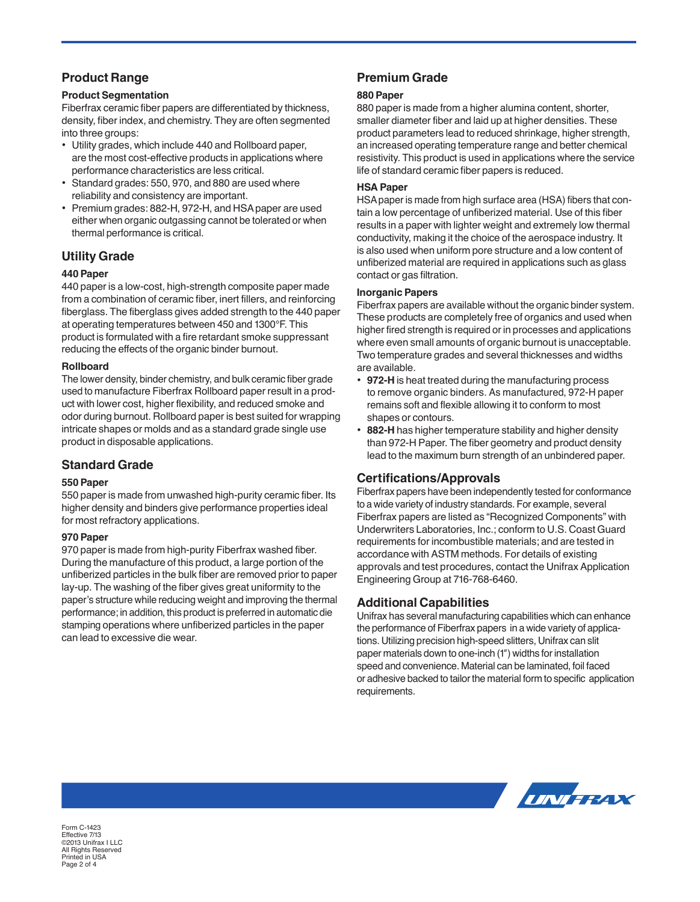# **Product Range**

#### **Product Segmentation**

Fiberfrax ceramic fiber papers are differentiated by thickness, density, fiber index, and chemistry. They are often segmented into three groups:

- Utility grades, which include 440 and Rollboard paper, are the most cost-effective products in applications where performance characteristics are less critical.
- Standard grades: 550, 970, and 880 are used where reliability and consistency are important.
- Premium grades: 882-H, 972-H, and HSA paper are used either when organic outgassing cannot be tolerated or when thermal performance is critical.

# **Utility Grade**

#### **440 Paper**

440 paper is a low-cost, high-strength composite paper made from a combination of ceramic fiber, inert fillers, and reinforcing fiberglass. The fiberglass gives added strength to the 440 paper at operating temperatures between 450 and 1300°F. This product is formulated with a fire retardant smoke suppressant reducing the effects of the organic binder burnout.

#### **Rollboard**

The lower density, binder chemistry, and bulk ceramic fiber grade used to manufacture Fiberfrax Rollboard paper result in a product with lower cost, higher flexibility, and reduced smoke and odor during burnout. Rollboard paper is best suited for wrapping intricate shapes or molds and as a standard grade single use product in disposable applications.

## **Standard Grade**

#### **550 Paper**

550 paper is made from unwashed high-purity ceramic fiber. Its higher density and binders give performance properties ideal for most refractory applications.

#### **970 Paper**

970 paper is made from high-purity Fiberfrax washed fiber. During the manufacture of this product, a large portion of the unfiberized particles in the bulk fiber are removed prior to paper lay-up. The washing of the fiber gives great uniformity to the paper's structure while reducing weight and improving the thermal performance; in addition, this product is preferred in automatic die stamping operations where unfiberized particles in the paper can lead to excessive die wear.

# **Premium Grade**

#### **880 Paper**

880 paper is made from a higher alumina content, shorter, smaller diameter fiber and laid up at higher densities. These product parameters lead to reduced shrinkage, higher strength, an increased operating temperature range and better chemical resistivity. This product is used in applications where the service life of standard ceramic fiber papers is reduced.

#### **HSA Paper**

HSA paper is made from high surface area (HSA) fibers that contain a low percentage of unfiberized material. Use of this fiber results in a paper with lighter weight and extremely low thermal conductivity, making it the choice of the aerospace industry. It is also used when uniform pore structure and a low content of unfiberized material are required in applications such as glass contact or gas filtration.

#### **Inorganic Papers**

Fiberfrax papers are available without the organic binder system. These products are completely free of organics and used when higher fired strength is required or in processes and applications where even small amounts of organic burnout is unacceptable. Two temperature grades and several thicknesses and widths are available.

- **972-H** is heat treated during the manufacturing process to remove organic binders. As manufactured, 972-H paper remains soft and flexible allowing it to conform to most shapes or contours.
- **882-H** has higher temperature stability and higher density than 972-H Paper. The fiber geometry and product density lead to the maximum burn strength of an unbindered paper.

## **Certifications/Approvals**

Fiberfrax papers have been independently tested for conformance to a wide variety of industry standards. For example, several Fiberfrax papers are listed as "Recognized Components" with Underwriters Laboratories, Inc.; conform to U.S. Coast Guard requirements for incombustible materials; and are tested in accordance with ASTM methods. For details of existing approvals and test procedures, contact the Unifrax Application Engineering Group at 716-768-6460.

## **Additional Capabilities**

Unifrax has several manufacturing capabilities which can enhance the performance of Fiberfrax papers in a wide variety of applications. Utilizing precision high-speed slitters, Unifrax can slit paper materials down to one-inch (1") widths for installation speed and convenience. Material can be laminated, foil faced or adhesive backed to tailor the material form to specific application requirements.



Form C-1423 Effective 7/13 ©2013 Unifrax I LLC All Rights Reserved Printed in USA Page 2 of 4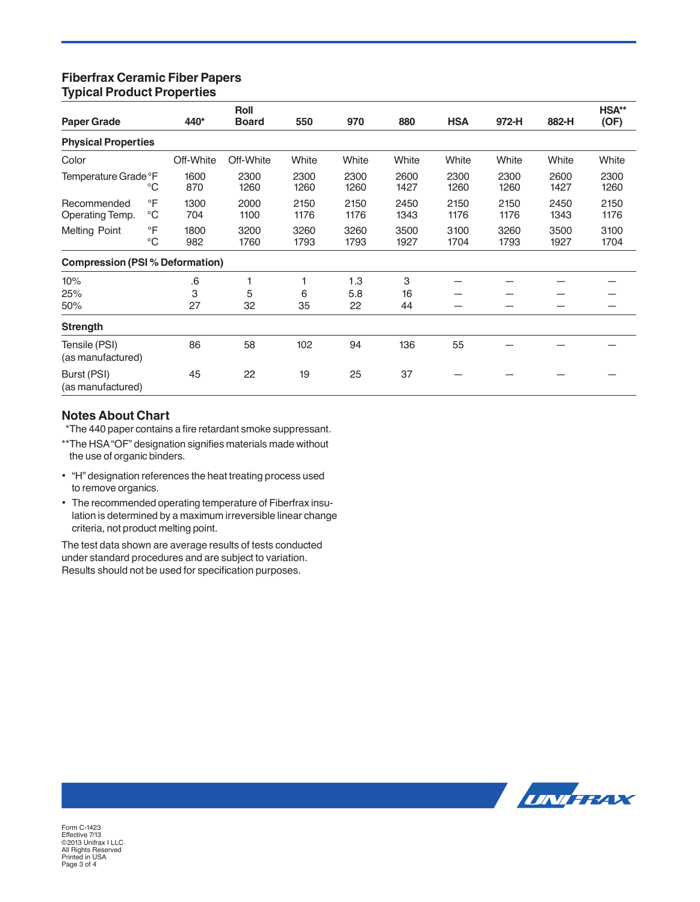## **Fiberfrax Ceramic Fiber Papers Typical Product Properties**

| <b>Paper Grade</b>                     |                          |             | <b>Roll</b>  | 550          | 970          | 880          | <b>HSA</b>   | 972-H        | 882-H        | HSA**<br>(OF) |
|----------------------------------------|--------------------------|-------------|--------------|--------------|--------------|--------------|--------------|--------------|--------------|---------------|
|                                        |                          | 440*        | <b>Board</b> |              |              |              |              |              |              |               |
| <b>Physical Properties</b>             |                          |             |              |              |              |              |              |              |              |               |
| Color                                  |                          | Off-White   | Off-White    | White        | White        | White        | White        | White        | White        | White         |
| Temperature Grade °F                   | $^{\circ}C$              | 1600<br>870 | 2300<br>1260 | 2300<br>1260 | 2300<br>1260 | 2600<br>1427 | 2300<br>1260 | 2300<br>1260 | 2600<br>1427 | 2300<br>1260  |
| Recommended<br>Operating Temp.         | $\circ$ F<br>$^{\circ}C$ | 1300<br>704 | 2000<br>1100 | 2150<br>1176 | 2150<br>1176 | 2450<br>1343 | 2150<br>1176 | 2150<br>1176 | 2450<br>1343 | 2150<br>1176  |
| <b>Melting Point</b>                   | $\circ$ F<br>$^{\circ}C$ | 1800<br>982 | 3200<br>1760 | 3260<br>1793 | 3260<br>1793 | 3500<br>1927 | 3100<br>1704 | 3260<br>1793 | 3500<br>1927 | 3100<br>1704  |
| <b>Compression (PSI % Deformation)</b> |                          |             |              |              |              |              |              |              |              |               |
| 10%<br>25%                             |                          | .6<br>3     | 1<br>5       | 1<br>6       | 1.3<br>5.8   | 3<br>16      |              |              |              |               |
| 50%                                    |                          | 27          | 32           | 35           | 22           | 44           |              |              |              |               |
| <b>Strength</b>                        |                          |             |              |              |              |              |              |              |              |               |
| Tensile (PSI)<br>(as manufactured)     |                          | 86          | 58           | 102          | 94           | 136          | 55           |              |              |               |
| Burst (PSI)<br>(as manufactured)       |                          | 45          | 22           | 19           | 25           | 37           |              |              |              |               |

# **Notes About Chart**

\*\*The 440 paper contains a fire retardant smoke suppressant.

- \*\*The HSA "OF" designation signifies materials made without the use of organic binders.
- "H" designation references the heat treating process used to remove organics.
- The recommended operating temperature of Fiberfrax insulation is determined by a maximum irreversible linear change criteria, not product melting point.

The test data shown are average results of tests conducted under standard procedures and are subject to variation. Results should not be used for specification purposes.



Form C-1423 Effective 7/13 ©2013 Unifrax I LLC All Rights Reserved Printed in USA Page 3 of 4